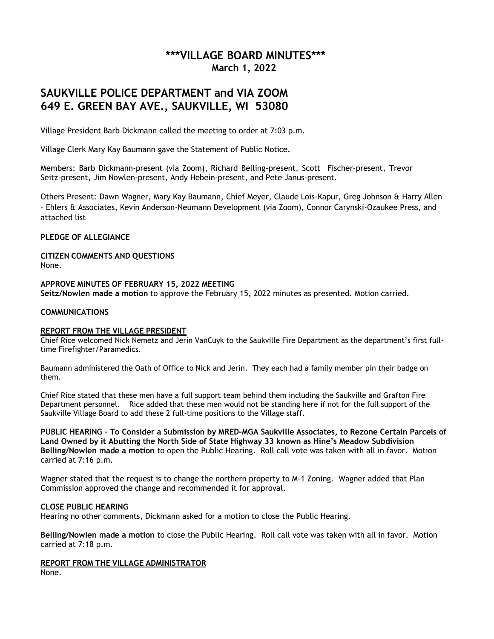## **\*\*\*VILLAGE BOARD MINUTES\*\*\* March 1, 2022**

# **SAUKVILLE POLICE DEPARTMENT and VIA ZOOM 649 E. GREEN BAY AVE., SAUKVILLE, WI 53080**

Village President Barb Dickmann called the meeting to order at 7:03 p.m.

Village Clerk Mary Kay Baumann gave the Statement of Public Notice.

Members: Barb Dickmann-present (via Zoom), Richard Belling-present, Scott Fischer-present, Trevor Seitz-present, Jim Nowlen-present, Andy Hebein-present, and Pete Janus-present.

Others Present: Dawn Wagner, Mary Kay Baumann, Chief Meyer, Claude Lois-Kapur, Greg Johnson & Harry Allen – Ehlers & Associates, Kevin Anderson-Neumann Development (via Zoom), Connor Carynski-Ozaukee Press, and attached list

## **PLEDGE OF ALLEGIANCE**

**CITIZEN COMMENTS AND QUESTIONS** None.

**APPROVE MINUTES OF FEBRUARY 15, 2022 MEETING Seitz/Nowlen made a motion** to approve the February 15, 2022 minutes as presented. Motion carried.

## **COMMUNICATIONS**

#### **REPORT FROM THE VILLAGE PRESIDENT**

Chief Rice welcomed Nick Nemetz and Jerin VanCuyk to the Saukville Fire Department as the department's first fulltime Firefighter/Paramedics.

Baumann administered the Oath of Office to Nick and Jerin. They each had a family member pin their badge on them.

Chief Rice stated that these men have a full support team behind them including the Saukville and Grafton Fire Department personnel. Rice added that these men would not be standing here if not for the full support of the Saukville Village Board to add these 2 full-time positions to the Village staff.

**PUBLIC HEARING – To Consider a Submission by MRED-MGA Saukville Associates, to Rezone Certain Parcels of Land Owned by it Abutting the North Side of State Highway 33 known as Hine's Meadow Subdivision Belling/Nowlen made a motion** to open the Public Hearing. Roll call vote was taken with all in favor. Motion carried at 7:16 p.m.

Wagner stated that the request is to change the northern property to M-1 Zoning. Wagner added that Plan Commission approved the change and recommended it for approval.

#### **CLOSE PUBLIC HEARING**

Hearing no other comments, Dickmann asked for a motion to close the Public Hearing.

**Belling/Nowlen made a motion** to close the Public Hearing. Roll call vote was taken with all in favor. Motion carried at 7:18 p.m.

**REPORT FROM THE VILLAGE ADMINISTRATOR** None.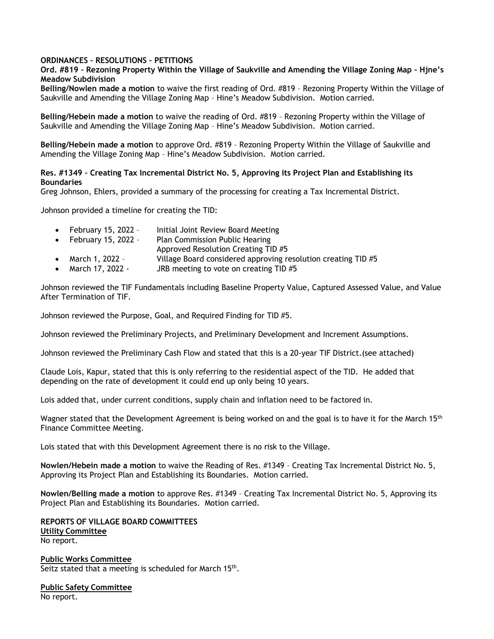#### **ORDINANCES – RESOLUTIONS – PETITIONS**

## **Ord. #819 – Rezoning Property Within the Village of Saukville and Amending the Village Zoning Map – Hjne's Meadow Subdivision**

**Belling/Nowlen made a motion** to waive the first reading of Ord. #819 – Rezoning Property Within the Village of Saukville and Amending the Village Zoning Map – Hine's Meadow Subdivision. Motion carried.

**Belling/Hebein made a motion** to waive the reading of Ord. #819 – Rezoning Property within the Village of Saukville and Amending the Village Zoning Map – Hine's Meadow Subdivision. Motion carried.

**Belling/Hebein made a motion** to approve Ord. #819 – Rezoning Property Within the Village of Saukville and Amending the Village Zoning Map – Hine's Meadow Subdivision. Motion carried.

## **Res. #1349 – Creating Tax Incremental District No. 5, Approving its Project Plan and Establishing its Boundaries**

Greg Johnson, Ehlers, provided a summary of the processing for creating a Tax Incremental District.

Johnson provided a timeline for creating the TID:

| February 15, 2022 - | Initial Joint Review Board Meeting |
|---------------------|------------------------------------|
|                     |                                    |

- February 15, 2022 Plan Commission Public Hearing
- Approved Resolution Creating TID #5
- March 1, 2022 Village Board considered approving resolution creating TID #5
- March 17, 2022 JRB meeting to vote on creating TID #5

Johnson reviewed the TIF Fundamentals including Baseline Property Value, Captured Assessed Value, and Value After Termination of TIF.

Johnson reviewed the Purpose, Goal, and Required Finding for TID #5.

Johnson reviewed the Preliminary Projects, and Preliminary Development and Increment Assumptions.

Johnson reviewed the Preliminary Cash Flow and stated that this is a 20-year TIF District.(see attached)

Claude Lois, Kapur, stated that this is only referring to the residential aspect of the TID. He added that depending on the rate of development it could end up only being 10 years.

Lois added that, under current conditions, supply chain and inflation need to be factored in.

Wagner stated that the Development Agreement is being worked on and the goal is to have it for the March 15<sup>th</sup> Finance Committee Meeting.

Lois stated that with this Development Agreement there is no risk to the Village.

**Nowlen/Hebein made a motion** to waive the Reading of Res. #1349 – Creating Tax Incremental District No. 5, Approving its Project Plan and Establishing its Boundaries. Motion carried.

**Nowlen/Belling made a motion** to approve Res. #1349 – Creating Tax Incremental District No. 5, Approving its Project Plan and Establishing its Boundaries. Motion carried.

**REPORTS OF VILLAGE BOARD COMMITTEES Utility Committee** No report.

**Public Works Committee** Seitz stated that a meeting is scheduled for March 15<sup>th</sup>.

**Public Safety Committee** No report.